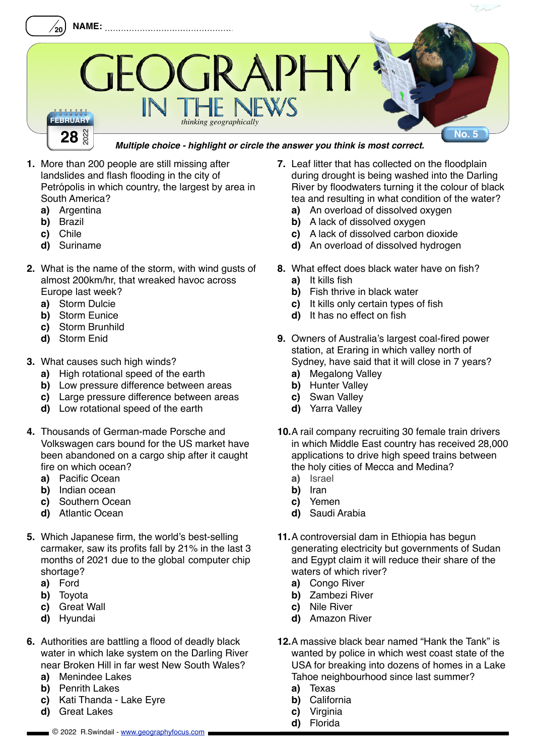

## *Multiple choice - highlight or circle the answer you think is most correct.*

- **1.** More than 200 people are still missing after landslides and flash flooding in the city of Petrópolis in which country, the largest by area in South America?
	- **a)** Argentina
	- **b)** Brazil
	- **c)** Chile
	- **d)** Suriname
- **2.** What is the name of the storm, with wind gusts of almost 200km/hr, that wreaked havoc across Europe last week?
	- **a)** Storm Dulcie
	- **b)** Storm Eunice
	- **c)** Storm Brunhild
	- **d)** Storm Enid
- **3.** What causes such high winds?
	- **a)** High rotational speed of the earth
	- **b)** Low pressure difference between areas
	- **c)** Large pressure difference between areas
	- **d)** Low rotational speed of the earth
- **4.** Thousands of German-made Porsche and Volkswagen cars bound for the US market have been abandoned on a cargo ship after it caught fire on which ocean?
	- **a)** Pacific Ocean
	- **b)** Indian ocean
	- **c)** Southern Ocean
	- **d)** Atlantic Ocean
- **5.** Which Japanese firm, the world's best-selling carmaker, saw its profits fall by 21% in the last 3 months of 2021 due to the global computer chip shortage?
	- **a)** Ford
	- **b)** Toyota
	- **c)** Great Wall
	- **d)** Hyundai
- **6.** Authorities are battling a flood of deadly black water in which lake system on the Darling River near Broken Hill in far west New South Wales?
	- **a)** Menindee Lakes
	- **b)** Penrith Lakes
	- **c)** Kati Thanda Lake Eyre
	- **d)** Great Lakes
- **7.** Leaf litter that has collected on the floodplain during drought is being washed into the Darling River by floodwaters turning it the colour of black tea and resulting in what condition of the water?
	- **a)** An overload of dissolved oxygen
	- **b)** A lack of dissolved oxygen
	- **c)** A lack of dissolved carbon dioxide
	- **d)** An overload of dissolved hydrogen
- **8.** What effect does black water have on fish? **a)** It kills fish
	- **b)** Fish thrive in black water
	- **c)** It kills only certain types of fish
	- **d)** It has no effect on fish
- **9.** Owners of Australia's largest coal-fired power station, at Eraring in which valley north of Sydney, have said that it will close in 7 years?
	- **a)** Megalong Valley
	- **b)** Hunter Valley
	- **c)** Swan Valley
	- **d)** Yarra Valley
- **10.**A rail company recruiting 30 female train drivers in which Middle East country has received 28,000 applications to drive high speed trains between the holy cities of Mecca and Medina?
	- **a)** Israel
	- **b)** Iran
	- **c)** Yemen
	- **d)** Saudi Arabia
- **11.**A controversial dam in Ethiopia has begun generating electricity but governments of Sudan and Egypt claim it will reduce their share of the waters of which river?
	- **a)** Congo River
	- **b)** Zambezi River
	- **c)** Nile River
	- **d)** Amazon River
- **12.**A massive black bear named "Hank the Tank" is wanted by police in which west coast state of the USA for breaking into dozens of homes in a Lake Tahoe neighbourhood since last summer?
	- **a)** Texas
	- **b)** California
	- **c)** Virginia
	- **d)** Florida